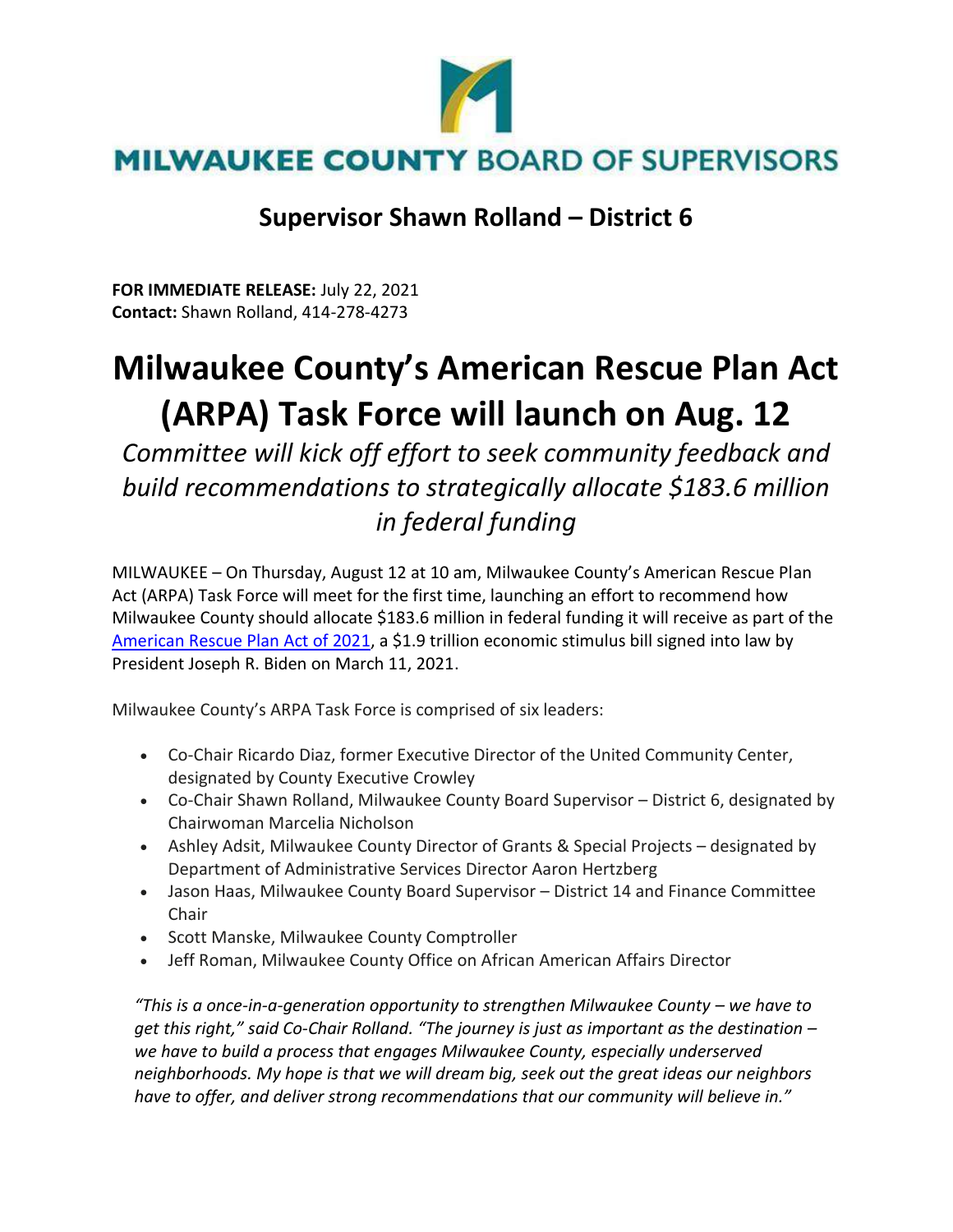

## **Supervisor Shawn Rolland – District 6**

**FOR IMMEDIATE RELEASE:** July 22, 2021 **Contact:** Shawn Rolland, 414-278-4273

## **Milwaukee County's American Rescue Plan Act (ARPA) Task Force will launch on Aug. 12**

*Committee will kick off effort to seek community feedback and build recommendations to strategically allocate \$183.6 million in federal funding*

MILWAUKEE – On Thursday, August 12 at 10 am, Milwaukee County's American Rescue Plan Act (ARPA) Task Force will meet for the first time, launching an effort to recommend how Milwaukee County should allocate \$183.6 million in federal funding it will receive as part of the [American Rescue Plan Act of 2021,](https://www.congress.gov/bill/117th-congress/house-bill/1319/text) a \$1.9 trillion economic stimulus bill signed into law by President Joseph R. Biden on March 11, 2021.

Milwaukee County's ARPA Task Force is comprised of six leaders:

- Co-Chair Ricardo Diaz, former Executive Director of the United Community Center, designated by County Executive Crowley
- Co-Chair Shawn Rolland, Milwaukee County Board Supervisor District 6, designated by Chairwoman Marcelia Nicholson
- Ashley Adsit, Milwaukee County Director of Grants & Special Projects designated by Department of Administrative Services Director Aaron Hertzberg
- Jason Haas, Milwaukee County Board Supervisor District 14 and Finance Committee Chair
- Scott Manske, Milwaukee County Comptroller
- Jeff Roman, Milwaukee County Office on African American Affairs Director

*"This is a once-in-a-generation opportunity to strengthen Milwaukee County – we have to get this right," said Co-Chair Rolland. "The journey is just as important as the destination – we have to build a process that engages Milwaukee County, especially underserved neighborhoods. My hope is that we will dream big, seek out the great ideas our neighbors have to offer, and deliver strong recommendations that our community will believe in."*